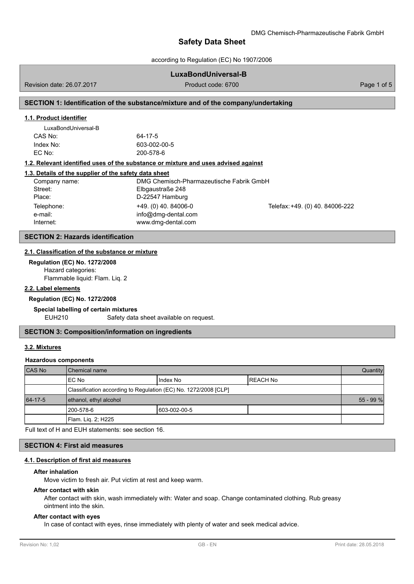according to Regulation (EC) No 1907/2006

### **LuxaBondUniversal-B**

Revision date: 26.07.2017 **Product code: 6700** Product code: 6700 **Page 1 of 5** 

## **SECTION 1: Identification of the substance/mixture and of the company/undertaking**

#### **1.1. Product identifier**

| LuxaBondUniversal-B |              |
|---------------------|--------------|
| CAS No:             | 64-17-5      |
| Index No:           | 603-002-00-5 |
| EC No:              | 200-578-6    |

### **1.2. Relevant identified uses of the substance or mixture and uses advised against**

|  |  |  |  |  |  |  |  | 1.3. Details of the supplier of the safety data sheet |  |
|--|--|--|--|--|--|--|--|-------------------------------------------------------|--|
|--|--|--|--|--|--|--|--|-------------------------------------------------------|--|

| Company name: | DMG Chemisch-Pharmazeutische Fabrik GmbH |                                 |
|---------------|------------------------------------------|---------------------------------|
| Street:       | Elbgaustraße 248                         |                                 |
| Place:        | D-22547 Hamburg                          |                                 |
| Telephone:    | $+49.$ (0) 40. 84006-0                   | Telefax: +49. (0) 40. 84006-222 |
| e-mail:       | info@dmg-dental.com                      |                                 |
| Internet:     | www.dmg-dental.com                       |                                 |

### **SECTION 2: Hazards identification**

#### **2.1. Classification of the substance or [mixture](mailto:info@dmg-dental.com)**

**Regulation (EC) No. 1272/2008** Hazard categories: Flammable liquid: Flam. Liq. 2

### **2.2. Label elements**

#### **Regulation (EC) No. 1272/2008**

#### **Special labelling of certain mixtures**

EUH210 Safety data sheet available on request.

### **SECTION 3: Composition/information on ingredients**

## **3.2. Mixtures**

#### **Hazardous components**

| CAS No  | l Chemical name                                                 |               |           |  |
|---------|-----------------------------------------------------------------|---------------|-----------|--|
|         | IEC No                                                          | Index No      | IREACH No |  |
|         | Classification according to Regulation (EC) No. 1272/2008 [CLP] |               |           |  |
| 64-17-5 | ethanol, ethyl alcohol                                          |               |           |  |
|         | 1200-578-6                                                      | 1603-002-00-5 |           |  |
|         | Flam. Lig. 2; H225                                              |               |           |  |

Full text of H and EUH statements: see section 16.

### **SECTION 4: First aid measures**

#### **4.1. Description of first aid measures**

#### **After inhalation**

Move victim to fresh air. Put victim at rest and keep warm.

#### **After contact with skin**

After contact with skin, wash immediately with: Water and soap. Change contaminated clothing. Rub greasy ointment into the skin.

#### **After contact with eyes**

In case of contact with eyes, rinse immediately with plenty of water and seek medical advice.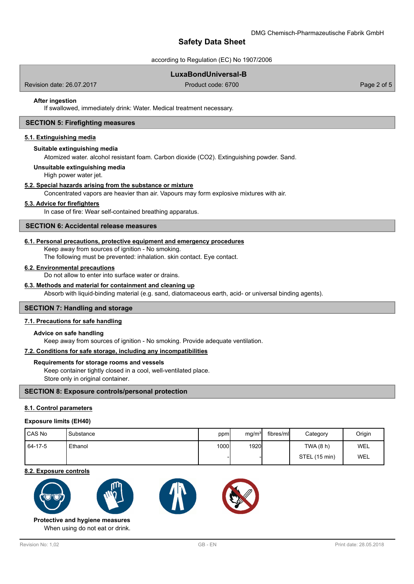according to Regulation (EC) No 1907/2006

# **LuxaBondUniversal-B**

Revision date: 26.07.2017 **Product code: 6700** Product code: 6700 **Page 2 of 5** 

#### **After ingestion**

If swallowed, immediately drink: Water. Medical treatment necessary.

#### **SECTION 5: Firefighting measures**

#### **5.1. Extinguishing media**

#### **Suitable extinguishing media**

Atomized water. alcohol resistant foam. Carbon dioxide (CO2). Extinguishing powder. Sand.

#### **Unsuitable extinguishing media**

High power water jet.

#### **5.2. Special hazards arising from the substance or mixture**

Concentrated vapors are heavier than air. Vapours may form explosive mixtures with air.

#### **5.3. Advice for firefighters**

In case of fire: Wear self-contained breathing apparatus.

#### **SECTION 6: Accidental release measures**

### **6.1. Personal precautions, protective equipment and emergency procedures**

Keep away from sources of ignition - No smoking.

The following must be prevented: inhalation. skin contact. Eye contact.

#### **6.2. Environmental precautions**

Do not allow to enter into surface water or drains.

### **6.3. Methods and material for containment and cleaning up**

Absorb with liquid-binding material (e.g. sand, diatomaceous earth, acid- or universal binding agents).

#### **SECTION 7: Handling and storage**

#### **7.1. Precautions for safe handling**

#### **Advice on safe handling**

Keep away from sources of ignition - No smoking. Provide adequate ventilation.

#### **7.2. Conditions for safe storage, including any incompatibilities**

#### **Requirements for storage rooms and vessels**

Keep container tightly closed in a cool, well-ventilated place. Store only in original container.

**SECTION 8: Exposure controls/personal protection**

#### **8.1. Control parameters**

#### **Exposure limits (EH40)**

| l CAS No | 'Substance | ppm  | mg/m <sup>3</sup> | fibres/ml | Category      | Origin     |
|----------|------------|------|-------------------|-----------|---------------|------------|
| 64-17-5  | Ethanol    | 1000 | 1920              |           | TWA (8 h)     | <b>WEL</b> |
|          |            |      |                   |           | STEL (15 min) | WEL        |

#### **8.2. Exposure controls**









When using do not eat or drink. **Protective and hygiene measures**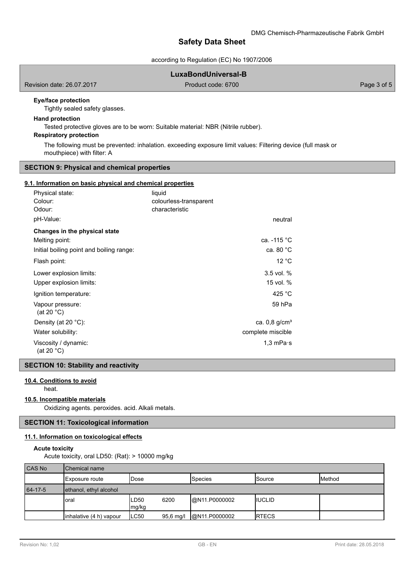according to Regulation (EC) No 1907/2006

# **LuxaBondUniversal-B**

Revision date: 26.07.2017 **Product code: 6700** Product code: 6700 **Page 3 of 5** 

# **Eye/face protection**

Tightly sealed safety glasses.

# **Hand protection**

Tested protective gloves are to be worn: Suitable material: NBR (Nitrile rubber).

# **Respiratory protection**

The following must be prevented: inhalation. exceeding exposure limit values: Filtering device (full mask or mouthpiece) with filter: A

### **SECTION 9: Physical and chemical properties**

### **9.1. Information on basic physical and chemical properties**

| Physical state:                          | liquid                 |                             |
|------------------------------------------|------------------------|-----------------------------|
| Colour:                                  | colourless-transparent |                             |
| Odour:                                   | characteristic         |                             |
| pH-Value:                                |                        | neutral                     |
| Changes in the physical state            |                        |                             |
| Melting point:                           |                        | ca. -115 °C                 |
| Initial boiling point and boiling range: |                        | ca. 80 $^{\circ}$ C         |
| Flash point:                             |                        | 12 °C                       |
| Lower explosion limits:                  |                        | $3.5$ vol. $%$              |
| Upper explosion limits:                  |                        | 15 vol. %                   |
| Ignition temperature:                    |                        | 425 °C                      |
| Vapour pressure:<br>(at 20 $°C$ )        |                        | 59 hPa                      |
| Density (at 20 $^{\circ}$ C):            |                        | ca. $0.8$ g/cm <sup>3</sup> |
| Water solubility:                        |                        | complete miscible           |
| Viscosity / dynamic:<br>(at 20 °C)       |                        | 1,3 mPa $\cdot$ s           |

## **SECTION 10: Stability and reactivity**

## **10.4. Conditions to avoid**

heat.

# **10.5. Incompatible materials**

Oxidizing agents. peroxides. acid. Alkali metals.

# **SECTION 11: Toxicological information**

# **11.1. Information on toxicological effects**

# **Acute toxicity**

Acute toxicity, oral LD50: (Rat): > 10000 mg/kg

| <b>CAS No</b> | <b>Chemical name</b>    |               |           |                |                |        |
|---------------|-------------------------|---------------|-----------|----------------|----------------|--------|
|               | Exposure route          | 'Dose         |           | <b>Species</b> | <b>Source</b>  | Method |
| 64-17-5       | ethanol, ethyl alcohol  |               |           |                |                |        |
|               | oral                    | LD50<br>mg/kg | 6200      | @N11.P0000002  | <b>IIUCLID</b> |        |
|               | inhalative (4 h) vapour | ILC50         | 95,6 mg/l | @N11.P0000002  | <b>IRTECS</b>  |        |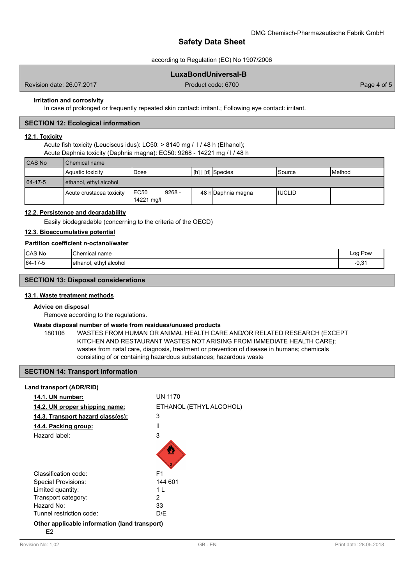### according to Regulation (EC) No 1907/2006

# **LuxaBondUniversal-B**

Revision date: 26.07.2017 **Product code: 6700** Product code: 6700 **Page 4 of 5** 

#### **Irritation and corrosivity**

In case of prolonged or frequently repeated skin contact: irritant.; Following eye contact: irritant.

#### **SECTION 12: Ecological information**

## **12.1. Toxicity**

Acute fish toxicity (Leuciscus idus): LC50: > 8140 mg / l / 48 h (Ethanol); Acute Daphnia toxicity (Daphnia magna): EC50: 9268 - 14221 mg / l / 48 h

| <b>CAS No</b> | Chemical name            |                                 |                     |                |                 |
|---------------|--------------------------|---------------------------------|---------------------|----------------|-----------------|
|               | Aquatic toxicity         | Dose                            | I [h]   [d] Species | ISource        | <b>I</b> Method |
| 64-17-5       | ethanol, ethyl alcohol   |                                 |                     |                |                 |
|               | Acute crustacea toxicity | $9268 -$<br>IEC50<br>14221 mg/l | 48 hDaphnia magna   | <b>IIUCLID</b> |                 |

### **12.2. Persistence and degradability**

Easily biodegradable (concerning to the criteria of the OECD)

### **12.3. Bioaccumulative potential**

### **Partition coefficient n-octanol/water**

| CAS No  | 'Chemical<br>name            | ∟oa<br>Pow<br>-- 0   |
|---------|------------------------------|----------------------|
| 64-17-5 | alcohol<br>ethyl<br>ethanol. | $\Omega$<br>- v, v . |

#### **SECTION 13: Disposal considerations**

## **13.1. Waste treatment methods**

#### **Advice on disposal**

Remove according to the regulations.

#### **Waste disposal number of waste from residues/unused products**

180106 WASTES FROM HUMAN OR ANIMAL HEALTH CARE AND/OR RELATED RESEARCH (EXCEPT KITCHEN AND RESTAURANT WASTES NOT ARISING FROM IMMEDIATE HEALTH CARE); wastes from natal care, diagnosis, treatment or prevention of disease in humans; chemicals consisting of or containing hazardous substances; hazardous waste

# **SECTION 14: Transport information**

| Land transport (ADR/RID)                            |                         |
|-----------------------------------------------------|-------------------------|
| 14.1. UN number:                                    | <b>UN 1170</b>          |
| 14.2. UN proper shipping name:                      | ETHANOL (ETHYL ALCOHOL) |
| 14.3. Transport hazard class(es):                   | 3                       |
| 14.4. Packing group:                                | Ш                       |
| Hazard label:                                       | 3                       |
| Classification code:                                | F1                      |
| <b>Special Provisions:</b>                          | 144 601                 |
| Limited quantity:                                   | 1 I                     |
| Transport category:                                 | 2                       |
| Hazard No:                                          | 33                      |
| Tunnel restriction code:                            | D/F                     |
| Other applicable information (land transport)<br>E2 |                         |